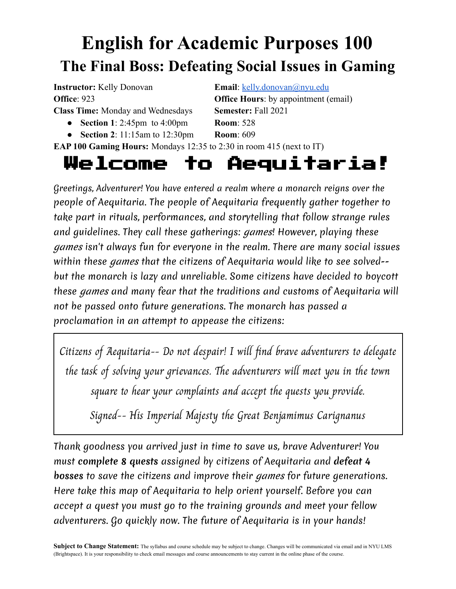# **English for Academic Purposes 100 The Final Boss: Defeating Social Issues in Gaming**

**Instructor:** Kelly Donovan **Email**: [kelly.donovan@nyu.edu](mailto:kelly.donovan@nyu.edu)

- **Section 1**: 2:45pm to 4:00pm **Room**: 528
- **Section 2**: 11:15am to 12:30pm **Room**: 609

**Office**: 923 **Office Hours**: by appointment (email) **Class Time:** Monday and Wednesdays **Semester:** Fall 2021

# **EAP 100 Gaming Hours:** Mondays 12:35 to 2:30 in room 415 (next to IT)

# Welcome to Aequitaria!

Greetings, Adventurer! You have entered a realm where a monarch reigns over the people of Aequitaria. The people of Aequitaria frequently gather together to take part in rituals, performances, and storytelling that follow strange rules and guidelines. They call these gatherings: games! However, playing these games isn't always fun for everyone in the realm. There are many social issues within these games that the citizens of Aequitaria would like to see solved-but the monarch is lazy and unreliable. Some citizens have decided to boycott these games and many fear that the traditions and customs of Aequitaria will not be passed onto future generations. The monarch has passed a proclamation in an attempt to appease the citizens:

Citizens of Aequitaria-- Do not despair! I will find brave adventurers to delegate the task of solving your grievances. The adventurers will meet you in the town square to hear your complaints and accept the quests you provide.

Signed-- His Imperial Majesty the Great Benjamimus Carignanus

Thank goodness you arrived just in time to save us, brave Adventurer! You must **complete 8 quests** assigned by citizens of Aequitaria and **defeat 4 bosses** to save the citizens and improve their games for future generations. Here take this map of Aequitaria to help orient yourself. Before you can accept a quest you must go to the training grounds and meet your fellow adventurers. Go quickly now. The future of Aequitaria is in your hands!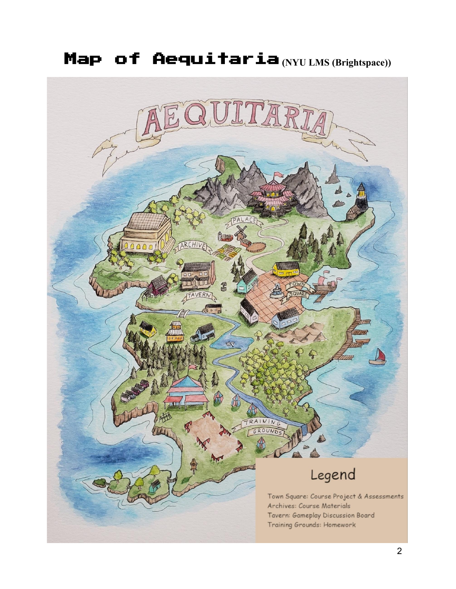# Map of Aequitaria **(NYU LMS (Brightspace))**

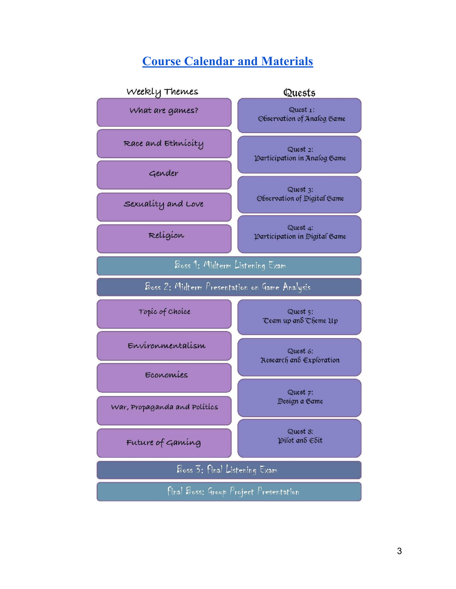# **Course Calendar and [Materials](https://docs.google.com/document/d/1rbZBcUvO8I4ddSdQZDKdEdccUawiVmtpFzF7jyGu4_c/edit)**

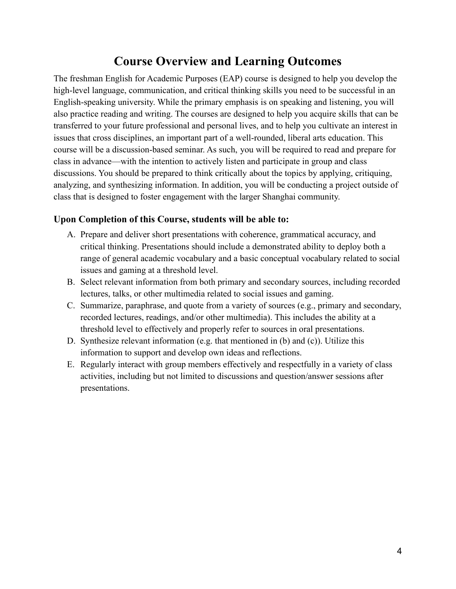# **Course Overview and Learning Outcomes**

The freshman English for Academic Purposes (EAP) course is designed to help you develop the high-level language, communication, and critical thinking skills you need to be successful in an English-speaking university. While the primary emphasis is on speaking and listening, you will also practice reading and writing. The courses are designed to help you acquire skills that can be transferred to your future professional and personal lives, and to help you cultivate an interest in issues that cross disciplines, an important part of a well-rounded, liberal arts education. This course will be a discussion-based seminar. As such, you will be required to read and prepare for class in advance—with the intention to actively listen and participate in group and class discussions. You should be prepared to think critically about the topics by applying, critiquing, analyzing, and synthesizing information. In addition, you will be conducting a project outside of class that is designed to foster engagement with the larger Shanghai community.

#### **Upon Completion of this Course, students will be able to:**

- A. Prepare and deliver short presentations with coherence, grammatical accuracy, and critical thinking. Presentations should include a demonstrated ability to deploy both a range of general academic vocabulary and a basic conceptual vocabulary related to social issues and gaming at a threshold level.
- B. Select relevant information from both primary and secondary sources, including recorded lectures, talks, or other multimedia related to social issues and gaming.
- C. Summarize, paraphrase, and quote from a variety of sources (e.g., primary and secondary, recorded lectures, readings, and/or other multimedia). This includes the ability at a threshold level to effectively and properly refer to sources in oral presentations.
- D. Synthesize relevant information (e.g. that mentioned in (b) and (c)). Utilize this information to support and develop own ideas and reflections.
- E. Regularly interact with group members effectively and respectfully in a variety of class activities, including but not limited to discussions and question/answer sessions after presentations.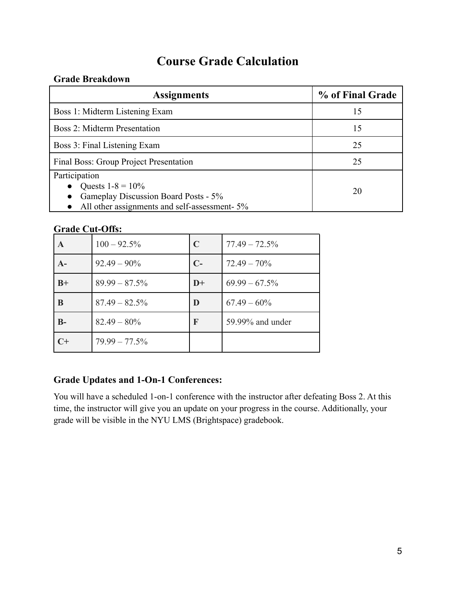# **Course Grade Calculation**

#### **Grade Breakdown**

| <b>Assignments</b>                                                                                                           | % of Final Grade |
|------------------------------------------------------------------------------------------------------------------------------|------------------|
| Boss 1: Midterm Listening Exam                                                                                               | 15               |
| Boss 2: Midterm Presentation                                                                                                 | 15               |
| Boss 3: Final Listening Exam                                                                                                 | 25               |
| Final Boss: Group Project Presentation                                                                                       | 25               |
| Participation<br>Quests $1-8 = 10\%$<br>Gameplay Discussion Board Posts - 5%<br>All other assignments and self-assessment-5% | 20               |

## **Grade Cut-Offs:**

|      | $100 - 92.5\%$   | $\mathbf C$ | $77.49 - 72.5\%$ |
|------|------------------|-------------|------------------|
| $A-$ | $92.49 - 90\%$   | $C-$        | $72.49 - 70\%$   |
| $B+$ | $89.99 - 87.5\%$ | $D+$        | $69.99 - 67.5\%$ |
| B    | $87.49 - 82.5\%$ | D           | $67.49 - 60\%$   |
| $B-$ | $82.49 - 80\%$   | F           | 59.99% and under |
| $C+$ | $79.99 - 77.5\%$ |             |                  |

### **Grade Updates and 1-On-1 Conferences:**

You will have a scheduled 1-on-1 conference with the instructor after defeating Boss 2. At this time, the instructor will give you an update on your progress in the course. Additionally, your grade will be visible in the NYU LMS (Brightspace) gradebook.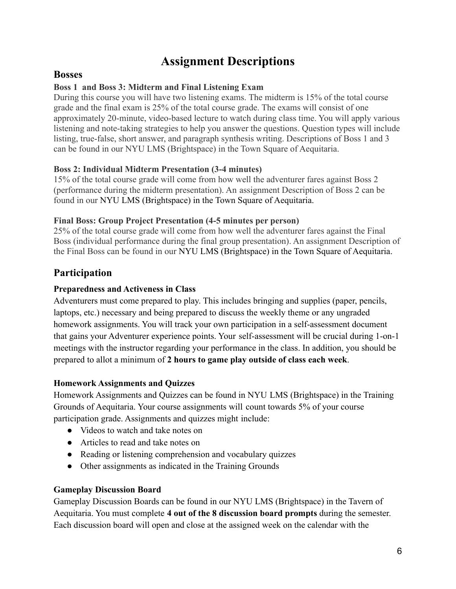# **Assignment Descriptions**

### **Bosses**

#### **Boss 1 and Boss 3: Midterm and Final Listening Exam**

During this course you will have two listening exams. The midterm is 15% of the total course grade and the final exam is 25% of the total course grade. The exams will consist of one approximately 20-minute, video-based lecture to watch during class time. You will apply various listening and note-taking strategies to help you answer the questions. Question types will include listing, true-false, short answer, and paragraph synthesis writing. Descriptions of Boss 1 and 3 can be found in our NYU LMS (Brightspace) in the Town Square of Aequitaria.

#### **Boss 2: Individual Midterm Presentation (3-4 minutes)**

15% of the total course grade will come from how well the adventurer fares against Boss 2 (performance during the midterm presentation). An assignment Description of Boss 2 can be found in our NYU LMS (Brightspace) in the Town Square of Aequitaria.

#### **Final Boss: Group Project Presentation (4-5 minutes per person)**

25% of the total course grade will come from how well the adventurer fares against the Final Boss (individual performance during the final group presentation). An assignment Description of the Final Boss can be found in our NYU LMS (Brightspace) in the Town Square of Aequitaria.

# **Participation**

#### **Preparedness and Activeness in Class**

Adventurers must come prepared to play. This includes bringing and supplies (paper, pencils, laptops, etc.) necessary and being prepared to discuss the weekly theme or any ungraded homework assignments. You will track your own participation in a self-assessment document that gains your Adventurer experience points. Your self-assessment will be crucial during 1-on-1 meetings with the instructor regarding your performance in the class. In addition, you should be prepared to allot a minimum of **2 hours to game play outside of class each week**.

#### **Homework Assignments and Quizzes**

Homework Assignments and Quizzes can be found in NYU LMS (Brightspace) in the Training Grounds of Aequitaria. Your course assignments will count towards 5% of your course participation grade. Assignments and quizzes might include:

- Videos to watch and take notes on
- Articles to read and take notes on
- Reading or listening comprehension and vocabulary quizzes
- Other assignments as indicated in the Training Grounds

#### **Gameplay Discussion Board**

Gameplay Discussion Boards can be found in our NYU LMS (Brightspace) in the Tavern of Aequitaria. You must complete **4 out of the 8 discussion board prompts** during the semester. Each discussion board will open and close at the assigned week on the calendar with the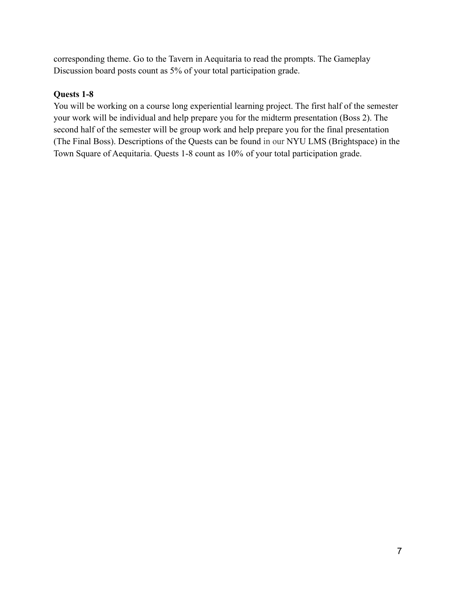corresponding theme. Go to the Tavern in Aequitaria to read the prompts. The Gameplay Discussion board posts count as 5% of your total participation grade.

#### **Quests 1-8**

You will be working on a course long experiential learning project. The first half of the semester your work will be individual and help prepare you for the midterm presentation (Boss 2). The second half of the semester will be group work and help prepare you for the final presentation (The Final Boss). Descriptions of the Quests can be found in our NYU LMS (Brightspace) in the Town Square of Aequitaria. Quests 1-8 count as 10% of your total participation grade.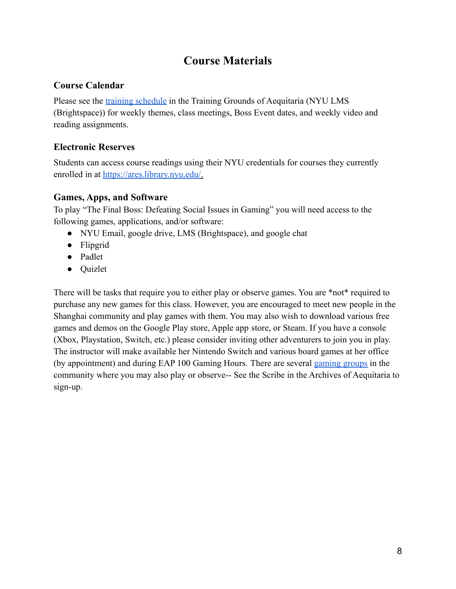# **Course Materials**

### **Course Calendar**

Please see the [training schedule](https://drive.google.com/file/d/11mHAaB5XmjtC3HTr0HdLoiFSJJ4IVpPH/view?usp=sharing) in the Training Grounds of Aequitaria (NYU LMS) (Brightspace)) for weekly themes, class meetings, Boss Event dates, and weekly video and reading assignments.

# **Electronic Reserves**

Students can access course readings using their NYU credentials for courses they currently enrolled in at [https://ares.library.nyu.edu/.](https://ares.library.nyu.edu/)

## **Games, Apps, and Software**

To play "The Final Boss: Defeating Social Issues in Gaming" you will need access to the following games, applications, and/or software:

- NYU Email, google drive, LMS (Brightspace), and google chat
- Flipgrid
- Padlet
- Quizlet

There will be tasks that require you to either play or observe games. You are \*not\* required to purchase any new games for this class. However, you are encouraged to meet new people in the Shanghai community and play games with them. You may also wish to download various free games and demos on the Google Play store, Apple app store, or Steam. If you have a console (Xbox, Playstation, Switch, etc.) please consider inviting other adventurers to join you in play. The instructor will make available her Nintendo Switch and various board games at her office (by appointment) and during EAP 100 Gaming Hours. There are several [gaming groups](https://docs.google.com/spreadsheets/d/1P6tPEsO7GzQKP1WmO7hjxX1l1n0tvxPpnvA-GkUQmDo/edit#gid=0) in the community where you may also play or observe-- See the Scribe in the Archives of Aequitaria to sign-up.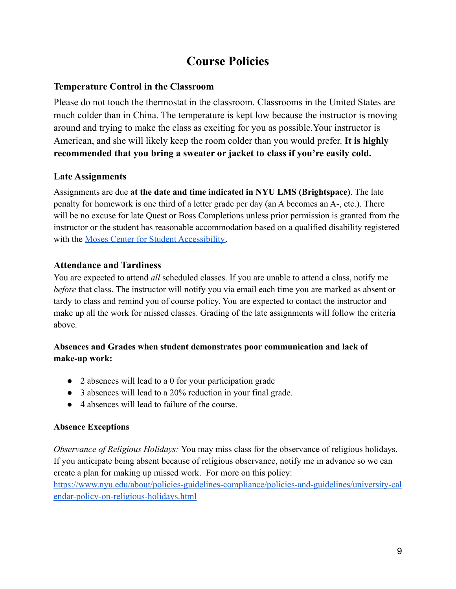# **Course Policies**

## **Temperature Control in the Classroom**

Please do not touch the thermostat in the classroom. Classrooms in the United States are much colder than in China. The temperature is kept low because the instructor is moving around and trying to make the class as exciting for you as possible.Your instructor is American, and she will likely keep the room colder than you would prefer. **It is highly recommended that you bring a sweater or jacket to class if you're easily cold.**

### **Late Assignments**

Assignments are due **at the date and time indicated in NYU LMS (Brightspace)**. The late penalty for homework is one third of a letter grade per day (an A becomes an A-, etc.). There will be no excuse for late Quest or Boss Completions unless prior permission is granted from the instructor or the student has reasonable accommodation based on a qualified disability registered with the [Moses Center for Student Accessibility.](https://www.nyu.edu/students/communities-and-groups/student-accessibility.html)

# **Attendance and Tardiness**

You are expected to attend *all* scheduled classes. If you are unable to attend a class, notify me *before* that class. The instructor will notify you via email each time you are marked as absent or tardy to class and remind you of course policy. You are expected to contact the instructor and make up all the work for missed classes. Grading of the late assignments will follow the criteria above.

#### **Absences and Grades when student demonstrates poor communication and lack of make-up work:**

- 2 absences will lead to a 0 for your participation grade
- 3 absences will lead to a 20% reduction in your final grade.
- 4 absences will lead to failure of the course.

### **Absence Exceptions**

*Observance of Religious Holidays:* You may miss class for the observance of religious holidays. If you anticipate being absent because of religious observance, notify me in advance so we can create a plan for making up missed work. For more on this policy:

[https://www.nyu.edu/about/policies-guidelines-compliance/policies-and-guidelines/university-cal](https://www.nyu.edu/about/policies-guidelines-compliance/policies-and-guidelines/university-calendar-policy-on-religious-holidays.html) [endar-policy-on-religious-holidays.html](https://www.nyu.edu/about/policies-guidelines-compliance/policies-and-guidelines/university-calendar-policy-on-religious-holidays.html)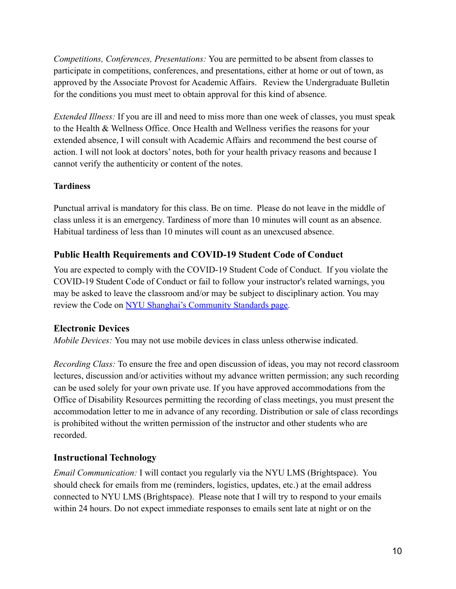*Competitions, Conferences, Presentations:* You are permitted to be absent from classes to participate in competitions, conferences, and presentations, either at home or out of town, as approved by the Associate Provost for Academic Affairs. Review the Undergraduate Bulletin for the conditions you must meet to obtain approval for this kind of absence.

*Extended Illness:* If you are ill and need to miss more than one week of classes, you must speak to the Health & Wellness Office. Once Health and Wellness verifies the reasons for your extended absence, I will consult with Academic Affairs and recommend the best course of action. I will not look at doctors' notes, both for your health privacy reasons and because I cannot verify the authenticity or content of the notes.

#### **Tardiness**

Punctual arrival is mandatory for this class. Be on time. Please do not leave in the middle of class unless it is an emergency. Tardiness of more than 10 minutes will count as an absence. Habitual tardiness of less than 10 minutes will count as an unexcused absence.

## **Public Health Requirements and COVID-19 Student Code of Conduct**

You are expected to comply with the COVID-19 Student Code of Conduct. If you violate the COVID-19 Student Code of Conduct or fail to follow your instructor's related warnings, you may be asked to leave the classroom and/or may be subject to disciplinary action. You may review the Code on [NYU Shanghai's Community Standards](https://shanghai.nyu.edu/campuslife/community-standards) page.

### **Electronic Devices**

*Mobile Devices:* You may not use mobile devices in class unless otherwise indicated.

*Recording Class:* To ensure the free and open discussion of ideas, you may not record classroom lectures, discussion and/or activities without my advance written permission; any such recording can be used solely for your own private use. If you have approved accommodations from the Office of Disability Resources permitting the recording of class meetings, you must present the accommodation letter to me in advance of any recording. Distribution or sale of class recordings is prohibited without the written permission of the instructor and other students who are recorded.

### **Instructional Technology**

*Email Communication:* I will contact you regularly via the NYU LMS (Brightspace). You should check for emails from me (reminders, logistics, updates, etc.) at the email address connected to NYU LMS (Brightspace). Please note that I will try to respond to your emails within 24 hours. Do not expect immediate responses to emails sent late at night or on the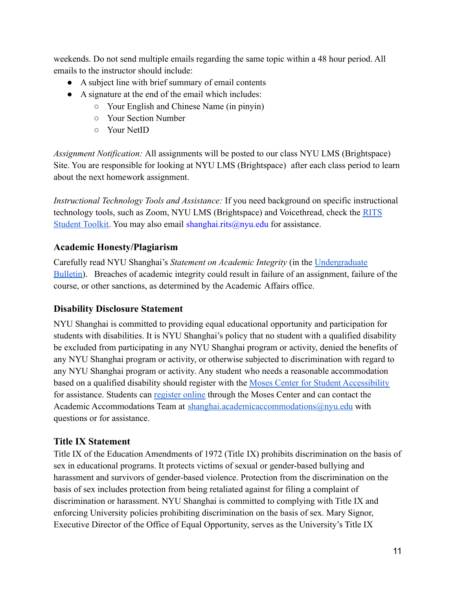weekends. Do not send multiple emails regarding the same topic within a 48 hour period. All emails to the instructor should include:

- A subject line with brief summary of email contents
- A signature at the end of the email which includes:
	- Your English and Chinese Name (in pinyin)
	- Your Section Number
	- Your NetID

*Assignment Notification:* All assignments will be posted to our class NYU LMS (Brightspace) Site. You are responsible for looking at NYU LMS (Brightspace) after each class period to learn about the next homework assignment.

*Instructional Technology Tools and Assistance:* If you need background on specific instructional technology tools, such as Zoom, NYU LMS (Brightspace) and Voicethread, check the [RITS](https://wp.nyu.edu/shanghai-online_learning/) [Student Toolkit](https://wp.nyu.edu/shanghai-online_learning/). You may also email shanghai.rits@nyu.edu for assistance.

# **Academic Honesty/Plagiarism**

Carefully read NYU Shanghai's *Statement on Academic Integrity* (in the [Undergraduate](https://shanghai.nyu.edu/academics/curriculum/bulletin) [Bulletin\)](https://shanghai.nyu.edu/academics/curriculum/bulletin). Breaches of academic integrity could result in failure of an assignment, failure of the course, or other sanctions, as determined by the Academic Affairs office.

### **Disability Disclosure Statement**

NYU Shanghai is committed to providing equal educational opportunity and participation for students with disabilities. It is NYU Shanghai's policy that no student with a qualified disability be excluded from participating in any NYU Shanghai program or activity, denied the benefits of any NYU Shanghai program or activity, or otherwise subjected to discrimination with regard to any NYU Shanghai program or activity. Any student who needs a reasonable accommodation based on a qualified disability should register with the [Moses Center for Student Accessibility](https://www.nyu.edu/students/communities-and-groups/student-accessibility.html) for assistance. Students can [register online](https://www.nyu.edu/students/communities-and-groups/student-accessibility/academic.html) through the Moses Center and can contact the Academic Accommodations Team at [shanghai.academicaccommodations@nyu.edu](mailto:shanghai.academicaccommodations@nyu.edu) with questions or for assistance.

### **Title IX Statement**

Title IX of the Education Amendments of 1972 (Title IX) prohibits discrimination on the basis of sex in educational programs. It protects victims of sexual or gender-based bullying and harassment and survivors of gender-based violence. Protection from the discrimination on the basis of sex includes protection from being retaliated against for filing a complaint of discrimination or harassment. NYU Shanghai is committed to complying with Title IX and enforcing University policies prohibiting discrimination on the basis of sex. Mary Signor, Executive Director of the Office of Equal Opportunity, serves as the University's Title IX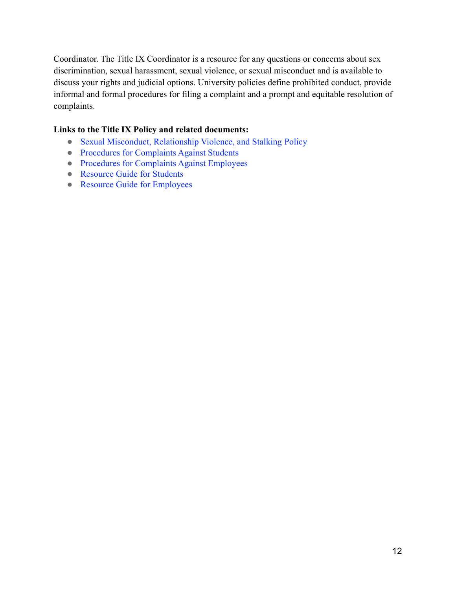Coordinator. The Title IX Coordinator is a resource for any questions or concerns about sex discrimination, sexual harassment, sexual violence, or sexual misconduct and is available to discuss your rights and judicial options. University policies define prohibited conduct, provide informal and formal procedures for filing a complaint and a prompt and equitable resolution of complaints.

#### **Links to the Title IX Policy and related documents:**

- [Sexual Misconduct, Relationship Violence, and Stalking](https://www.nyu.edu/about/policies-guidelines-compliance/policies-and-guidelines/sexual-misconduct--relationship-violence--and-stalking-policy.html) Policy
- [Procedures for Complaints Against Students](https://www.nyu.edu/about/policies-guidelines-compliance/policies-and-guidelines/test-reporting--investigating--and-resolving-sexual-misconduct--rela.html)
- [Procedures for Complaints Against Employees](https://www.nyu.edu/about/policies-guidelines-compliance/policies-and-guidelines/reporting--investigating--and-resolving-sexual-misconduct--relat.html)
- [Resource Guide for Students](https://www.nyu.edu/about/policies-guidelines-compliance/policies-and-guidelines/sexual-misconduct--relationship-violence--and-stalking-resource-.html)
- [Resource Guide for Employees](https://www.nyu.edu/about/policies-guidelines-compliance/policies-and-guidelines/sexual-misconduct--relationship-violence--and-stalking-resource-0.html)